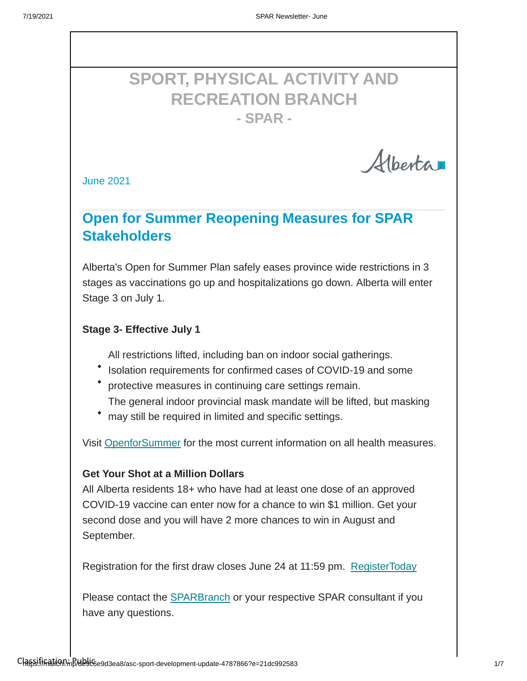# **SPORT, PHYSICAL ACTIVITY AND RECREATION BRANCH - SPAR -**

Alberta

June 2021

## **Open for Summer Reopening Measures for SPAR Stakeholders**

Alberta's Open for Summer Plan safely eases province wide restrictions in 3 stages as vaccinations go up and hospitalizations go down. Alberta will enter Stage 3 on July 1.

#### **Stage 3- Effective July 1**

All restrictions lifted, including ban on indoor social gatherings.

- Isolation requirements for confirmed cases of COVID-19 and some
- protective measures in continuing care settings remain. The general indoor provincial mask mandate will be lifted, but masking
- may still be required in limited and specific settings.

Visit [OpenforSummer](https://www.alberta.ca/enhanced-public-health-measures.aspx) for the most current information on all health measures.

#### **Get Your Shot at a Million Dollars**

All Alberta residents 18+ who have had at least one dose of an approved COVID-19 vaccine can enter now for a chance to win \$1 million. Get your second dose and you will have 2 more chances to win in August and September.

Registration for the first draw closes June 24 at 11:59 pm. [RegisterToday](https://vaccinelottery.alberta.ca/vl)

Please contact the [SPARBranch](http://SPAR@gov.ab.ca/) or your respective SPAR consultant if you have any questions.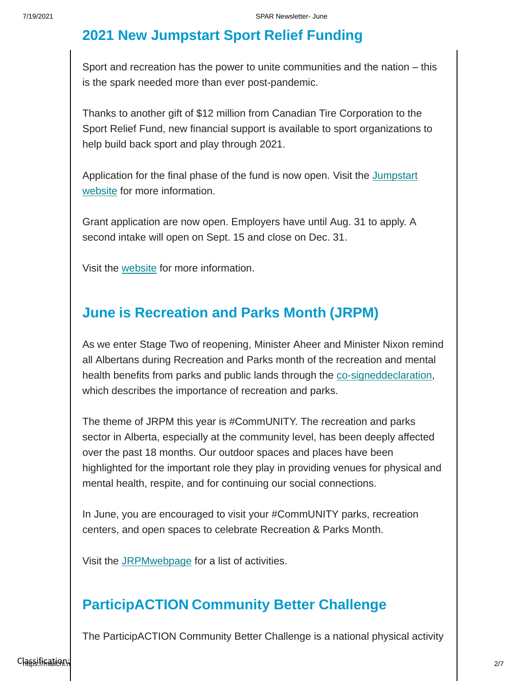# **2021 New Jumpstart Sport Relief Funding**

Sport and recreation has the power to unite communities and the nation – this is the spark needed more than ever post-pandemic.

Thanks to another gift of \$12 million from Canadian Tire Corporation to the Sport Relief Fund, new financial support is available to sport organizations to help build back sport and play through 2021.

Application for the final phase of [the fund is now open. Visit](https://jumpstart.canadiantire.ca/pages/sport-relief-fund-apply) the Jumpstart website for [more information.](https://jumpstart.canadiantire.ca/pages/sport-relief-fund-apply)

Grant application are now open. Employers have until Aug. 31 to apply. A second intake will open on Sept. 15 and close on Dec. 31.

Visit the [website](https://www.alberta.ca/alberta-jobs-now-program.aspx#apply) for more information.

#### **June is Recreation and Parks Month (JRPM)**

As we enter Stage Two of reopening, Minister Aheer and Minister Nixon remind all Albertans during Recreation and Parks month of the recreation and mental health benefits from parks and public lands through the [co-signeddeclaration,](https://www.alberta.ca/release.cfm?xID=7930003FB662E-D543-70E9-3F042031DE23F503) which describes the importance of recreation and parks.

The theme of JRPM this year is #CommUNITY. The recreation and parks sector in Alberta, especially at the community level, has been deeply affected over the past 18 months. Our outdoor spaces and places have been highlighted for the important role they play in providing venues for physical and mental health, respite, and for continuing our social connections.

In June, you are encouraged to visit your #CommUNITY parks, recreation centers, and open spaces to celebrate Recreation & Parks Month.

Visit the [JRPMwebpage](https://arpaonline.ca/events/recreation-parks-month/#%3A%7E%3Atext%3DAt%20the%20Alberta%20Recreation%20and%2Cfacilities%20and%20programs%20in%20Alberta) for a list of activities.

#### **ParticipACTION Community Better Challenge**

The ParticipACTION Community Better Challenge is a national physical activity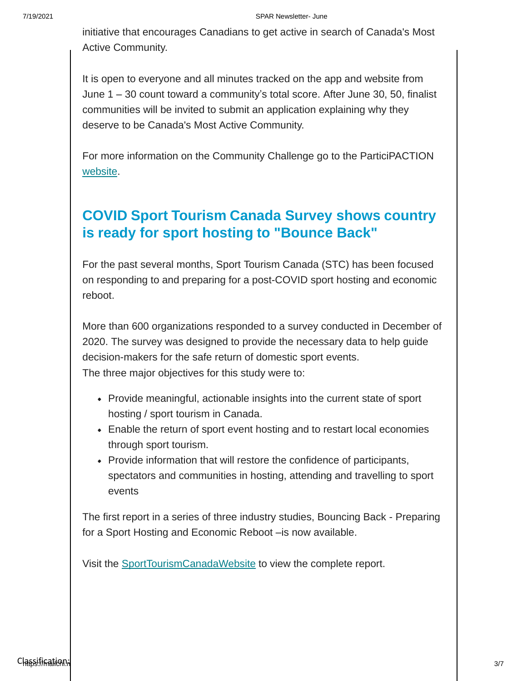initiative that encourages Canadians to get active in search of Canada's Most Active Community.

It is open to everyone and all minutes tracked on the app and website from June 1 – 30 count toward a community's total score. After June 30, 50, finalist communities will be invited to submit an application explaining why they deserve to be Canada's Most Active Community.

For more information on the Community Challenge go to the ParticiPACTION [website.](https://www.participaction.com/en-ca/programs/community-challenge)

# **COVID Sport Tourism Canada Survey shows country is ready for sport hosting to "Bounce Back"**

For the past several months, Sport Tourism Canada (STC) has been focused on responding to and preparing for a post-COVID sport hosting and economic reboot.

More than 600 organizations responded to a survey conducted in December of 2020. The survey was designed to provide the necessary data to help guide decision-makers for the safe return of domestic sport events. The three major objectives for this study were to:

- Provide meaningful, actionable insights into the current state of sport hosting / sport tourism in Canada.
- Enable the return of sport event hosting and to restart local economies through sport tourism.
- Provide information that will restore the confidence of participants, spectators and communities in hosting, attending and travelling to sport events

The first report in a series of three industry studies, Bouncing Back - Preparing for a Sport Hosting and Economic Reboot –is now available.

Visit the [SportTourismCanadaWebsite](https://sporttourismcanada.com/covid-19-recovery-task-force/) to view the complete report.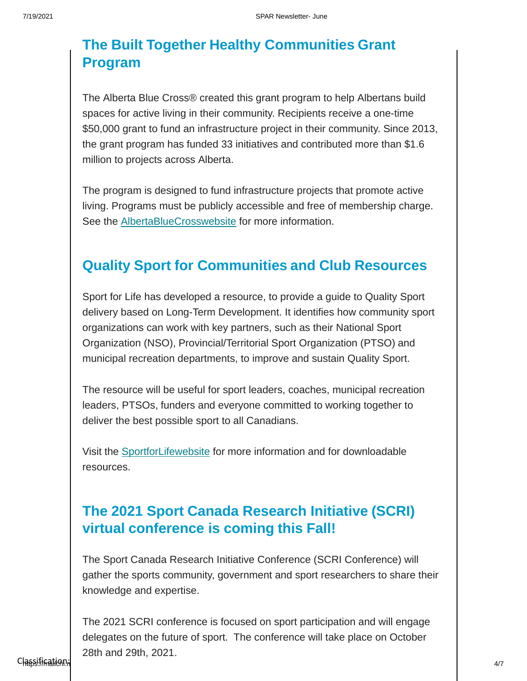## **The Built Together Healthy Communities Grant Program**

The Alberta Blue Cross® created this grant program to help Albertans build spaces for active living in their community. Recipients receive a one-time \$50,000 grant to fund an infrastructure project in their community. Since 2013, the grant program has funded 33 initiatives and contributed more than \$1.6 million to projects across Alberta.

The program is designed to fund infrastructure projects that promote active living. Programs must be publicly accessible and free of membership charge. See the [AlbertaBlueCrosswebsite](http://www.ab.bluecross.ca/aboutus/built-together.php#%3A%7E%3Atext%3DThe%20Alberta%20Blue%20Cross%C2%AE%2Cinfrastructure%20project%20in%20their%20community) for more information.

#### **Quality Sport for Communities and Club Resources**

Sport for Life has developed a resource, to provide a guide to Quality Sport delivery based on Long-Term Development. It identifies how community sport organizations can work with key partners, such as their National Sport Organization (NSO), Provincial/Territorial Sport Organization (PTSO) and municipal recreation departments, to improve and sustain Quality Sport.

The resource will be useful for sport leaders, coaches, municipal recreation leaders, PTSOs, funders and everyone committed to working together to deliver the best possible sport to all Canadians.

Visit the [SportforLifewebsite](https://sportforlife.ca/portfolio-view/quality-sport-for-communities-and-clubs/) for more information and for downloadable resources.

# **The 2021 Sport Canada Research Initiative (SCRI) virtual conference is coming this Fall!**

The Sport Canada Research Initiative Conference (SCRI Conference) will gather the sports community, government and sport researchers to share their knowledge and expertise.

 $\textsf{Cl}_\textsf{R5}$ sification: Publication: Publication: Publication: Publication: Publication: Publication: Publication: Publication: Publication: Publication: Publication: Publication: Publication: Publication: Publication: The 2021 SCRI conference is focused on sport participation and will engage delegates on the future of sport. The conference will take place on October 28th and 29th, 2021.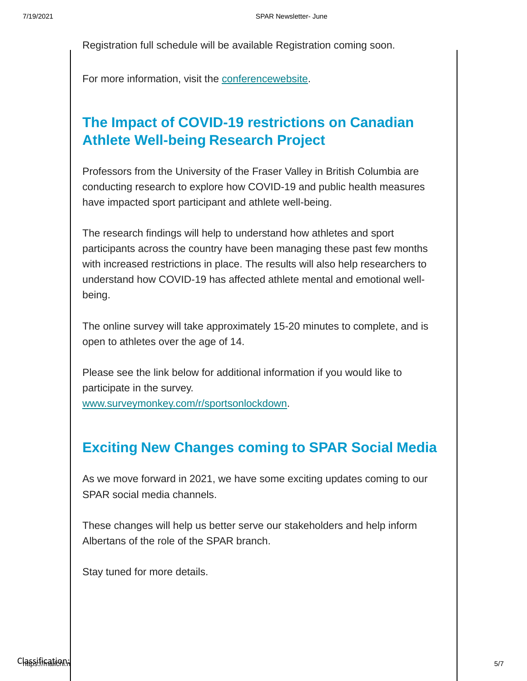Registration full schedule will be available Registration coming soon.

For more information, visit the [conferencewebsite.](https://sirc.ca/SCRI)

# **The Impact of COVID-19 restrictions on Canadian Athlete Well-being Research Project**

Professors from the University of the Fraser Valley in British Columbia are conducting research to explore how COVID-19 and public health measures have impacted sport participant and athlete well-being.

The research findings will help to understand how athletes and sport participants across the country have been managing these past few months with increased restrictions in place. The results will also help researchers to understand how COVID-19 has affected athlete mental and emotional wellbeing.

The online survey will take approximately 15-20 minutes to complete, and is open to athletes over the age of 14.

Please see the link below for additional information if you would like to participate in the survey.

[www.surveymonkey.com/r/sportsonlockdown.](https://www.surveymonkey.com/r/sportsonlockdown)

### **Exciting New Changes coming to SPAR Social Media**

As we move forward in 2021, we have some exciting updates coming to our SPAR social media channels.

These changes will help us better serve our stakeholders and help inform Albertans of the role of the SPAR branch.

Stay tuned for more details.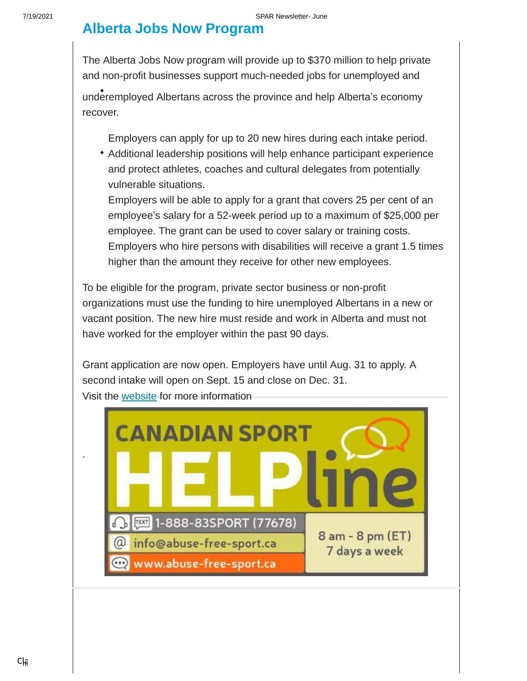#### **Alberta Jobs Now Program**

The Alberta Jobs Now program will provide up to \$370 million to help private and non-profit businesses support much-needed jobs for unemployed and

underemployed Albertans across the province and help Alberta's economy recover.

Employers can apply for up to 20 new hires during each intake period.

Additional leadership positions will help enhance participant experience and protect athletes, coaches and cultural delegates from potentially vulnerable situations.

Employers will be able to apply for a grant that covers 25 per cent of an employee's salary for a 52-week period up to a maximum of \$25,000 per employee. The grant can be used to cover salary or training costs. Employers who hire persons with disabilities will receive a grant 1.5 times higher than the amount they receive for other new employees.

To be eligible for the program, private sector business or non-profit organizations must use the funding to hire unemployed Albertans in a new or vacant position. The new hire must reside and work in Alberta and must not have worked for the employer within the past 90 days.

Grant application are now open. Employers have until Aug. 31 to apply. A second intake will open on Sept. 15 and close on Dec. 31. Visit the [website](https://www.alberta.ca/alberta-jobs-now-program.aspx#apply) for more information



.